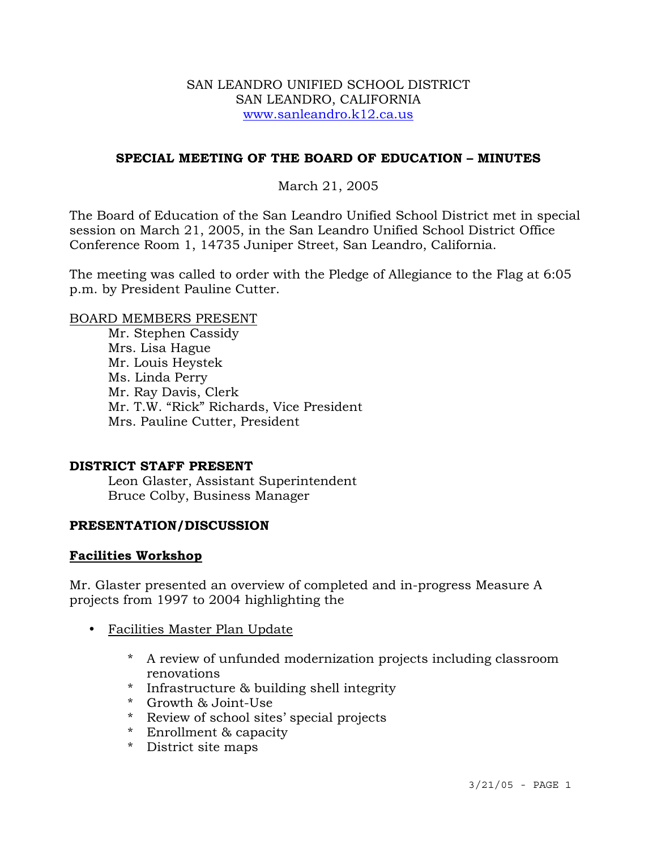### SAN LEANDRO UNIFIED SCHOOL DISTRICT SAN LEANDRO, CALIFORNIA www.sanleandro.k12.ca.us

### **SPECIAL MEETING OF THE BOARD OF EDUCATION – MINUTES**

## March 21, 2005

The Board of Education of the San Leandro Unified School District met in special session on March 21, 2005, in the San Leandro Unified School District Office Conference Room 1, 14735 Juniper Street, San Leandro, California.

The meeting was called to order with the Pledge of Allegiance to the Flag at 6:05 p.m. by President Pauline Cutter.

#### BOARD MEMBERS PRESENT

Mr. Stephen Cassidy Mrs. Lisa Hague Mr. Louis Heystek Ms. Linda Perry Mr. Ray Davis, Clerk Mr. T.W. "Rick" Richards, Vice President Mrs. Pauline Cutter, President

### **DISTRICT STAFF PRESENT**

Leon Glaster, Assistant Superintendent Bruce Colby, Business Manager

### **PRESENTATION/DISCUSSION**

### **Facilities Workshop**

Mr. Glaster presented an overview of completed and in-progress Measure A projects from 1997 to 2004 highlighting the

- Facilities Master Plan Update
	- \* A review of unfunded modernization projects including classroom renovations
	- \* Infrastructure & building shell integrity
	- \* Growth & Joint-Use
	- \* Review of school sites' special projects
	- \* Enrollment & capacity
	- \* District site maps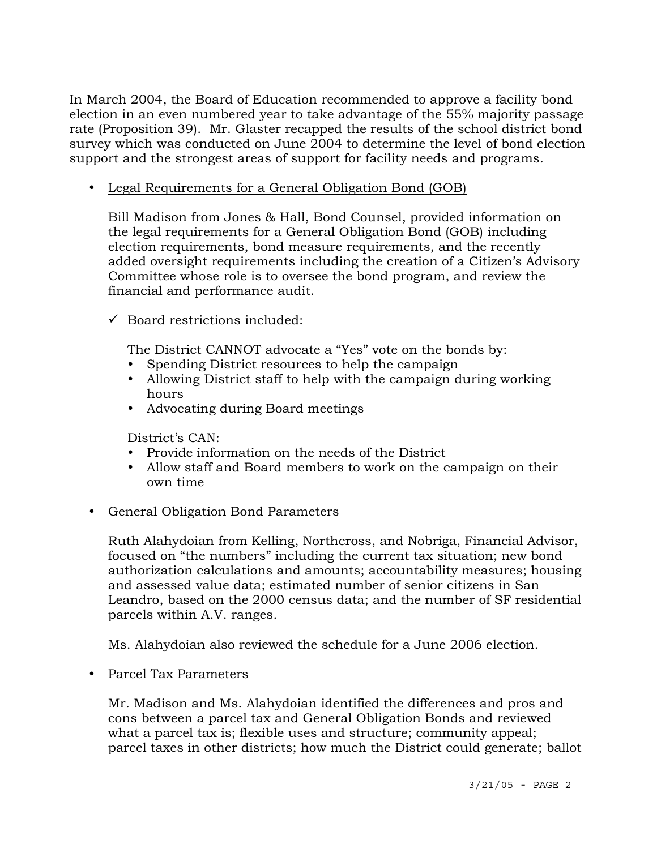In March 2004, the Board of Education recommended to approve a facility bond election in an even numbered year to take advantage of the 55% majority passage rate (Proposition 39). Mr. Glaster recapped the results of the school district bond survey which was conducted on June 2004 to determine the level of bond election support and the strongest areas of support for facility needs and programs.

• Legal Requirements for a General Obligation Bond (GOB)

 Bill Madison from Jones & Hall, Bond Counsel, provided information on the legal requirements for a General Obligation Bond (GOB) including election requirements, bond measure requirements, and the recently added oversight requirements including the creation of a Citizen's Advisory Committee whose role is to oversee the bond program, and review the financial and performance audit.

 $\checkmark$  Board restrictions included:

The District CANNOT advocate a "Yes" vote on the bonds by:

- Spending District resources to help the campaign
- Allowing District staff to help with the campaign during working hours
- Advocating during Board meetings

District's CAN:

- Provide information on the needs of the District
- Allow staff and Board members to work on the campaign on their own time

## • General Obligation Bond Parameters

Ruth Alahydoian from Kelling, Northcross, and Nobriga, Financial Advisor, focused on "the numbers" including the current tax situation; new bond authorization calculations and amounts; accountability measures; housing and assessed value data; estimated number of senior citizens in San Leandro, based on the 2000 census data; and the number of SF residential parcels within A.V. ranges.

Ms. Alahydoian also reviewed the schedule for a June 2006 election.

• Parcel Tax Parameters

 Mr. Madison and Ms. Alahydoian identified the differences and pros and cons between a parcel tax and General Obligation Bonds and reviewed what a parcel tax is; flexible uses and structure; community appeal; parcel taxes in other districts; how much the District could generate; ballot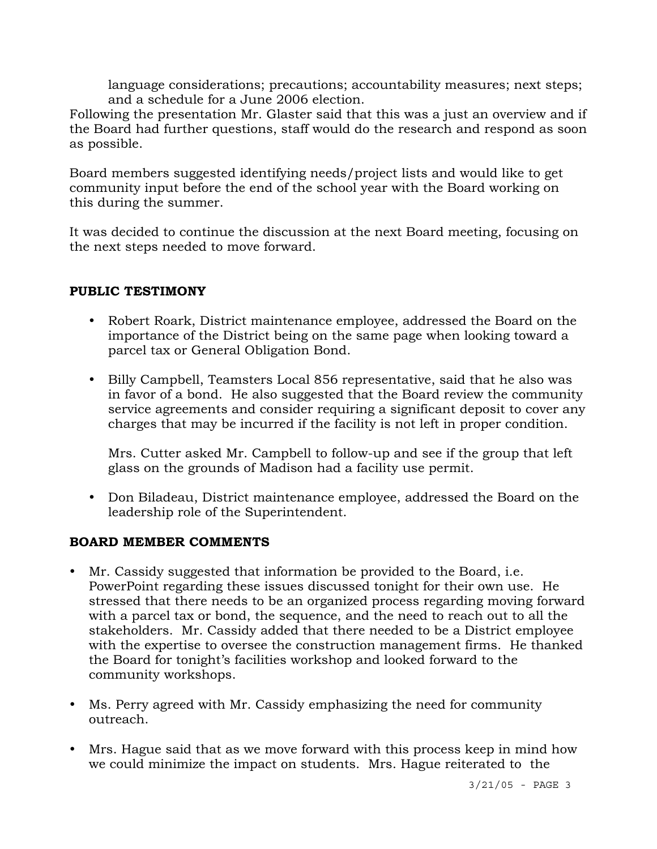language considerations; precautions; accountability measures; next steps; and a schedule for a June 2006 election.

Following the presentation Mr. Glaster said that this was a just an overview and if the Board had further questions, staff would do the research and respond as soon as possible.

Board members suggested identifying needs/project lists and would like to get community input before the end of the school year with the Board working on this during the summer.

It was decided to continue the discussion at the next Board meeting, focusing on the next steps needed to move forward.

# **PUBLIC TESTIMONY**

- Robert Roark, District maintenance employee, addressed the Board on the importance of the District being on the same page when looking toward a parcel tax or General Obligation Bond.
- Billy Campbell, Teamsters Local 856 representative, said that he also was in favor of a bond. He also suggested that the Board review the community service agreements and consider requiring a significant deposit to cover any charges that may be incurred if the facility is not left in proper condition.

 Mrs. Cutter asked Mr. Campbell to follow-up and see if the group that left glass on the grounds of Madison had a facility use permit.

• Don Biladeau, District maintenance employee, addressed the Board on the leadership role of the Superintendent.

## **BOARD MEMBER COMMENTS**

- Mr. Cassidy suggested that information be provided to the Board, i.e. PowerPoint regarding these issues discussed tonight for their own use. He stressed that there needs to be an organized process regarding moving forward with a parcel tax or bond, the sequence, and the need to reach out to all the stakeholders. Mr. Cassidy added that there needed to be a District employee with the expertise to oversee the construction management firms. He thanked the Board for tonight's facilities workshop and looked forward to the community workshops.
- Ms. Perry agreed with Mr. Cassidy emphasizing the need for community outreach.
- Mrs. Hague said that as we move forward with this process keep in mind how we could minimize the impact on students. Mrs. Hague reiterated to the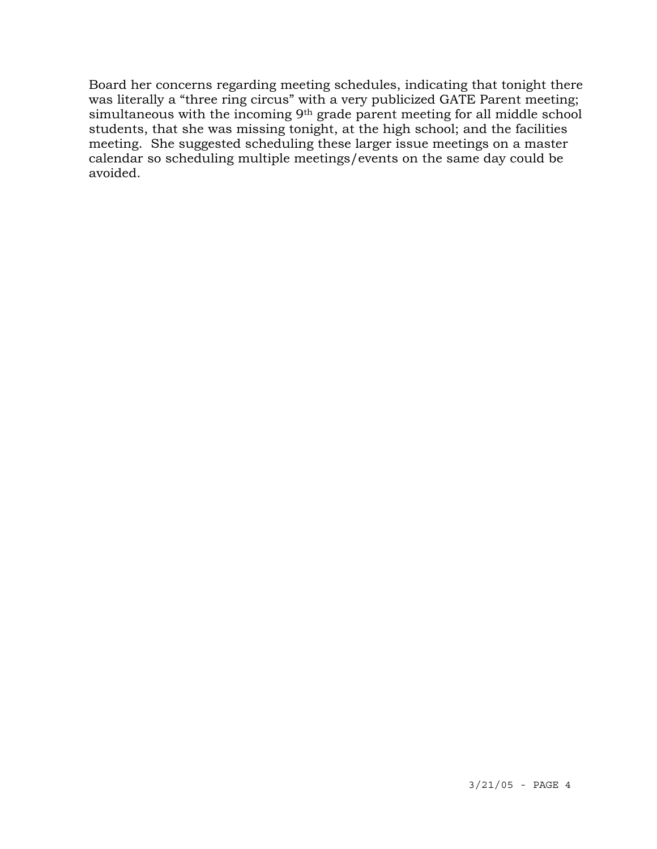Board her concerns regarding meeting schedules, indicating that tonight there was literally a "three ring circus" with a very publicized GATE Parent meeting; simultaneous with the incoming 9<sup>th</sup> grade parent meeting for all middle school students, that she was missing tonight, at the high school; and the facilities meeting. She suggested scheduling these larger issue meetings on a master calendar so scheduling multiple meetings/events on the same day could be avoided.